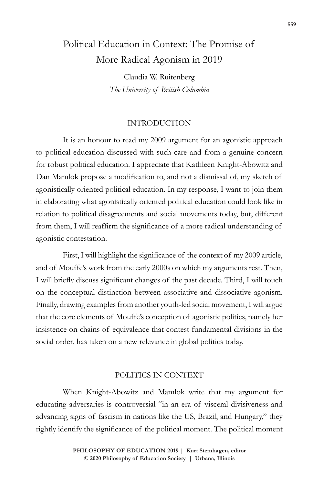# Political Education in Context: The Promise of More Radical Agonism in 2019

Claudia W. Ruitenberg *The University of British Columbia*

#### INTRODUCTION

It is an honour to read my 2009 argument for an agonistic approach to political education discussed with such care and from a genuine concern for robust political education. I appreciate that Kathleen Knight-Abowitz and Dan Mamlok propose a modification to, and not a dismissal of, my sketch of agonistically oriented political education. In my response, I want to join them in elaborating what agonistically oriented political education could look like in relation to political disagreements and social movements today, but, different from them, I will reaffirm the significance of a more radical understanding of agonistic contestation.

First, I will highlight the significance of the context of my 2009 article, and of Mouffe's work from the early 2000s on which my arguments rest. Then, I will briefly discuss significant changes of the past decade. Third, I will touch on the conceptual distinction between associative and dissociative agonism. Finally, drawing examples from another youth-led social movement, I will argue that the core elements of Mouffe's conception of agonistic politics, namely her insistence on chains of equivalence that contest fundamental divisions in the social order, has taken on a new relevance in global politics today.

### POLITICS IN CONTEXT

When Knight-Abowitz and Mamlok write that my argument for educating adversaries is controversial "in an era of visceral divisiveness and advancing signs of fascism in nations like the US, Brazil, and Hungary," they rightly identify the significance of the political moment. The political moment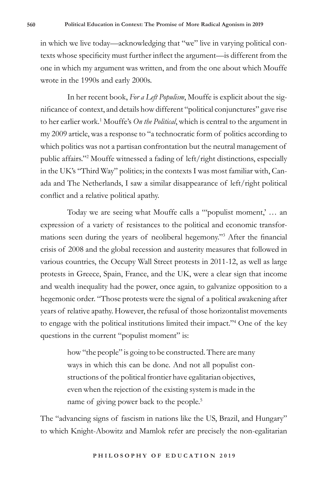in which we live today—acknowledging that "we" live in varying political contexts whose specificity must further inflect the argument—is different from the one in which my argument was written, and from the one about which Mouffe wrote in the 1990s and early 2000s.

In her recent book, *For a Left Populism*, Mouffe is explicit about the significance of context, and details how different "political conjunctures" gave rise to her earlier work.1 Mouffe's *On the Political*, which is central to the argument in my 2009 article, was a response to "a technocratic form of politics according to which politics was not a partisan confrontation but the neutral management of public affairs."<sup>2</sup> Mouffe witnessed a fading of left/right distinctions, especially in the UK's "Third Way" politics; in the contexts I was most familiar with, Canada and The Netherlands, I saw a similar disappearance of left/right political conflict and a relative political apathy.

Today we are seeing what Mouffe calls a "'populist moment,' … an expression of a variety of resistances to the political and economic transformations seen during the years of neoliberal hegemony."<sup>3</sup> After the financial crisis of 2008 and the global recession and austerity measures that followed in various countries, the Occupy Wall Street protests in 2011-12, as well as large protests in Greece, Spain, France, and the UK, were a clear sign that income and wealth inequality had the power, once again, to galvanize opposition to a hegemonic order. "Those protests were the signal of a political awakening after years of relative apathy. However, the refusal of those horizontalist movements to engage with the political institutions limited their impact."<sup>4</sup> One of the key questions in the current "populist moment" is:

> how "the people" is going to be constructed. There are many ways in which this can be done. And not all populist constructions of the political frontier have egalitarian objectives, even when the rejection of the existing system is made in the name of giving power back to the people.<sup>5</sup>

The "advancing signs of fascism in nations like the US, Brazil, and Hungary" to which Knight-Abowitz and Mamlok refer are precisely the non-egalitarian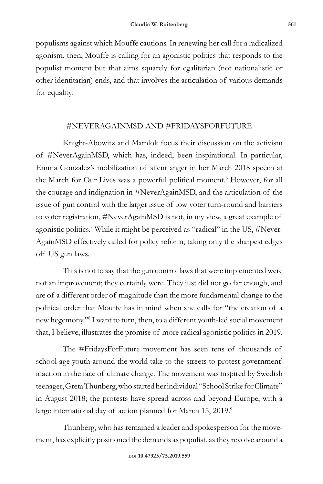populisms against which Mouffe cautions. In renewing her call for a radicalized agonism, then, Mouffe is calling for an agonistic politics that responds to the populist moment but that aims squarely for egalitarian (not nationalistic or other identitarian) ends, and that involves the articulation of various demands for equality.

## #NEVERAGAINMSD AND #FRIDAYSFORFUTURE

Knight-Abowitz and Mamlok focus their discussion on the activism of #NeverAgainMSD, which has, indeed, been inspirational. In particular, Emma Gonzalez's mobilization of silent anger in her March 2018 speech at the March for Our Lives was a powerful political moment.<sup>6</sup> However, for all the courage and indignation in #NeverAgainMSD, and the articulation of the issue of gun control with the larger issue of low voter turn-round and barriers to voter registration, #NeverAgainMSD is not, in my view, a great example of agonistic politics.<sup>7</sup> While it might be perceived as "radical" in the US, #Never-AgainMSD effectively called for policy reform, taking only the sharpest edges off US gun laws.

This is not to say that the gun control laws that were implemented were not an improvement; they certainly were. They just did not go far enough, and are of a different order of magnitude than the more fundamental change to the political order that Mouffe has in mind when she calls for "the creation of a new hegemony."<sup>8</sup> I want to turn, then, to a different youth-led social movement that, I believe, illustrates the promise of more radical agonistic politics in 2019.

The #FridaysForFuture movement has seen tens of thousands of school-age youth around the world take to the streets to protest government' inaction in the face of climate change. The movement was inspired by Swedish teenager, Greta Thunberg, who started her individual "School Strike for Climate" in August 2018; the protests have spread across and beyond Europe, with a large international day of action planned for March 15, 2019.<sup>9</sup>

Thunberg, who has remained a leader and spokesperson for the movement, has explicitly positioned the demands as populist, as they revolve around a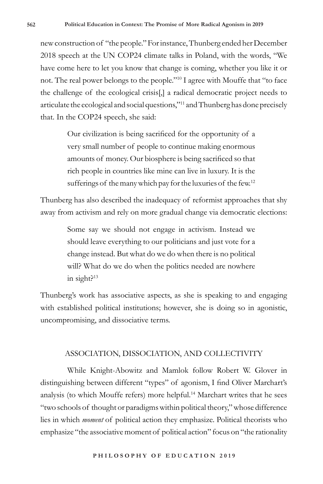new construction of "the people." For instance, Thunberg ended her December 2018 speech at the UN COP24 climate talks in Poland, with the words, "We have come here to let you know that change is coming, whether you like it or not. The real power belongs to the people."10 I agree with Mouffe that "to face the challenge of the ecological crisis[,] a radical democratic project needs to articulate the ecological and social questions,"11 and Thunberg has done precisely that. In the COP24 speech, she said:

> Our civilization is being sacrificed for the opportunity of a very small number of people to continue making enormous amounts of money. Our biosphere is being sacrificed so that rich people in countries like mine can live in luxury. It is the sufferings of the many which pay for the luxuries of the few.<sup>12</sup>

Thunberg has also described the inadequacy of reformist approaches that shy away from activism and rely on more gradual change via democratic elections:

> Some say we should not engage in activism. Instead we should leave everything to our politicians and just vote for a change instead. But what do we do when there is no political will? What do we do when the politics needed are nowhere in sight $e^{13}$

Thunberg's work has associative aspects, as she is speaking to and engaging with established political institutions; however, she is doing so in agonistic, uncompromising, and dissociative terms.

#### ASSOCIATION, DISSOCIATION, AND COLLECTIVITY

While Knight-Abowitz and Mamlok follow Robert W. Glover in distinguishing between different "types" of agonism, I find Oliver Marchart's analysis (to which Mouffe refers) more helpful.<sup>14</sup> Marchart writes that he sees "two schools of thought or paradigms within political theory," whose difference lies in which *moment* of political action they emphasize. Political theorists who emphasize "the associative moment of political action" focus on "the rationality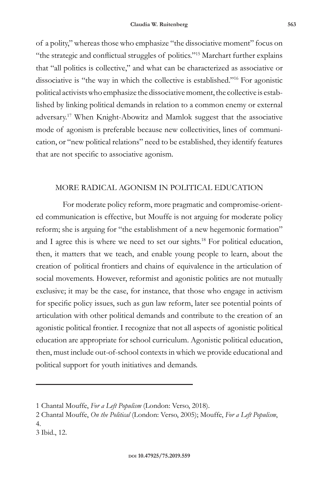of a polity," whereas those who emphasize "the dissociative moment" focus on "the strategic and conflictual struggles of politics."15 Marchart further explains that "all politics is collective," and what can be characterized as associative or dissociative is "the way in which the collective is established."16 For agonistic political activists who emphasize the dissociative moment, the collective is established by linking political demands in relation to a common enemy or external adversary.17 When Knight-Abowitz and Mamlok suggest that the associative mode of agonism is preferable because new collectivities, lines of communication, or "new political relations" need to be established, they identify features that are not specific to associative agonism.

## MORE RADICAL AGONISM IN POLITICAL EDUCATION

For moderate policy reform, more pragmatic and compromise-oriented communication is effective, but Mouffe is not arguing for moderate policy reform; she is arguing for "the establishment of a new hegemonic formation" and I agree this is where we need to set our sights.<sup>18</sup> For political education, then, it matters that we teach, and enable young people to learn, about the creation of political frontiers and chains of equivalence in the articulation of social movements. However, reformist and agonistic politics are not mutually exclusive; it may be the case, for instance, that those who engage in activism for specific policy issues, such as gun law reform, later see potential points of articulation with other political demands and contribute to the creation of an agonistic political frontier. I recognize that not all aspects of agonistic political education are appropriate for school curriculum. Agonistic political education, then, must include out-of-school contexts in which we provide educational and political support for youth initiatives and demands.

<sup>1</sup> Chantal Mouffe, *For a Left Populism* (London: Verso, 2018).

<sup>2</sup> Chantal Mouffe, *On the Political* (London: Verso, 2005); Mouffe, *For a Left Populism*, 4.

<sup>3</sup> Ibid., 12.